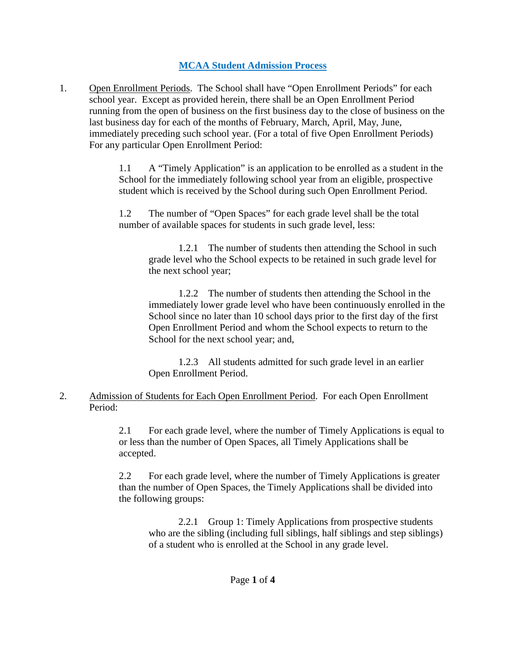## **MCAA Student Admission Process**

1. Open Enrollment Periods. The School shall have "Open Enrollment Periods" for each school year. Except as provided herein, there shall be an Open Enrollment Period running from the open of business on the first business day to the close of business on the last business day for each of the months of February, March, April, May, June, immediately preceding such school year. (For a total of five Open Enrollment Periods) For any particular Open Enrollment Period:

> 1.1 A "Timely Application" is an application to be enrolled as a student in the School for the immediately following school year from an eligible, prospective student which is received by the School during such Open Enrollment Period.

1.2 The number of "Open Spaces" for each grade level shall be the total number of available spaces for students in such grade level, less:

1.2.1 The number of students then attending the School in such grade level who the School expects to be retained in such grade level for the next school year;

1.2.2 The number of students then attending the School in the immediately lower grade level who have been continuously enrolled in the School since no later than 10 school days prior to the first day of the first Open Enrollment Period and whom the School expects to return to the School for the next school year; and,

1.2.3 All students admitted for such grade level in an earlier Open Enrollment Period.

## 2. Admission of Students for Each Open Enrollment Period. For each Open Enrollment Period:

2.1 For each grade level, where the number of Timely Applications is equal to or less than the number of Open Spaces, all Timely Applications shall be accepted.

2.2 For each grade level, where the number of Timely Applications is greater than the number of Open Spaces, the Timely Applications shall be divided into the following groups:

2.2.1 Group 1: Timely Applications from prospective students who are the sibling (including full siblings, half siblings and step siblings) of a student who is enrolled at the School in any grade level.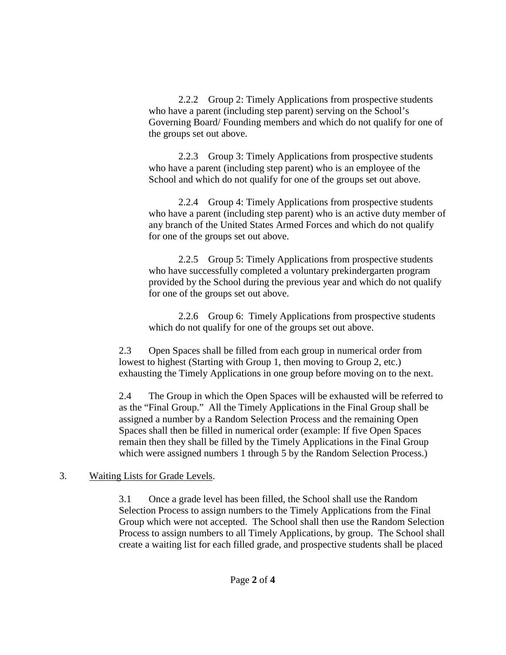2.2.2 Group 2: Timely Applications from prospective students who have a parent (including step parent) serving on the School's Governing Board/ Founding members and which do not qualify for one of the groups set out above.

2.2.3 Group 3: Timely Applications from prospective students who have a parent (including step parent) who is an employee of the School and which do not qualify for one of the groups set out above.

2.2.4 Group 4: Timely Applications from prospective students who have a parent (including step parent) who is an active duty member of any branch of the United States Armed Forces and which do not qualify for one of the groups set out above.

2.2.5 Group 5: Timely Applications from prospective students who have successfully completed a voluntary prekindergarten program provided by the School during the previous year and which do not qualify for one of the groups set out above.

2.2.6 Group 6: Timely Applications from prospective students which do not qualify for one of the groups set out above.

2.3 Open Spaces shall be filled from each group in numerical order from lowest to highest (Starting with Group 1, then moving to Group 2, etc.) exhausting the Timely Applications in one group before moving on to the next.

2.4 The Group in which the Open Spaces will be exhausted will be referred to as the "Final Group." All the Timely Applications in the Final Group shall be assigned a number by a Random Selection Process and the remaining Open Spaces shall then be filled in numerical order (example: If five Open Spaces remain then they shall be filled by the Timely Applications in the Final Group which were assigned numbers 1 through 5 by the Random Selection Process.)

## 3. Waiting Lists for Grade Levels.

3.1 Once a grade level has been filled, the School shall use the Random Selection Process to assign numbers to the Timely Applications from the Final Group which were not accepted. The School shall then use the Random Selection Process to assign numbers to all Timely Applications, by group. The School shall create a waiting list for each filled grade, and prospective students shall be placed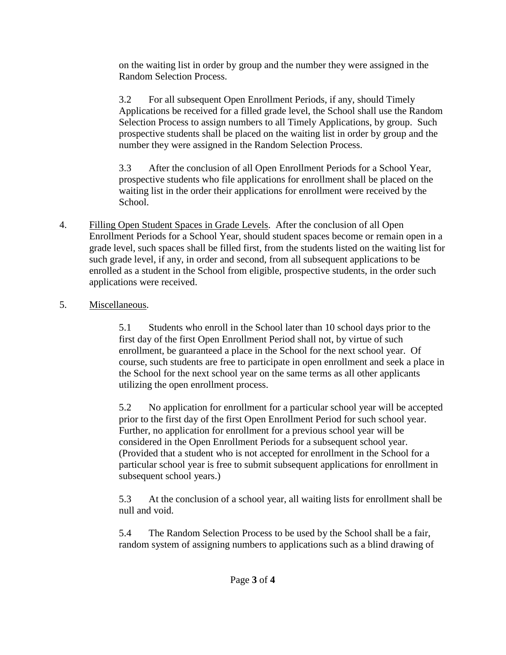on the waiting list in order by group and the number they were assigned in the Random Selection Process.

3.2 For all subsequent Open Enrollment Periods, if any, should Timely Applications be received for a filled grade level, the School shall use the Random Selection Process to assign numbers to all Timely Applications, by group. Such prospective students shall be placed on the waiting list in order by group and the number they were assigned in the Random Selection Process.

3.3 After the conclusion of all Open Enrollment Periods for a School Year, prospective students who file applications for enrollment shall be placed on the waiting list in the order their applications for enrollment were received by the School.

4. Filling Open Student Spaces in Grade Levels. After the conclusion of all Open Enrollment Periods for a School Year, should student spaces become or remain open in a grade level, such spaces shall be filled first, from the students listed on the waiting list for such grade level, if any, in order and second, from all subsequent applications to be enrolled as a student in the School from eligible, prospective students, in the order such applications were received.

## 5. Miscellaneous.

5.1 Students who enroll in the School later than 10 school days prior to the first day of the first Open Enrollment Period shall not, by virtue of such enrollment, be guaranteed a place in the School for the next school year. Of course, such students are free to participate in open enrollment and seek a place in the School for the next school year on the same terms as all other applicants utilizing the open enrollment process.

5.2 No application for enrollment for a particular school year will be accepted prior to the first day of the first Open Enrollment Period for such school year. Further, no application for enrollment for a previous school year will be considered in the Open Enrollment Periods for a subsequent school year. (Provided that a student who is not accepted for enrollment in the School for a particular school year is free to submit subsequent applications for enrollment in subsequent school years.)

5.3 At the conclusion of a school year, all waiting lists for enrollment shall be null and void.

5.4 The Random Selection Process to be used by the School shall be a fair, random system of assigning numbers to applications such as a blind drawing of